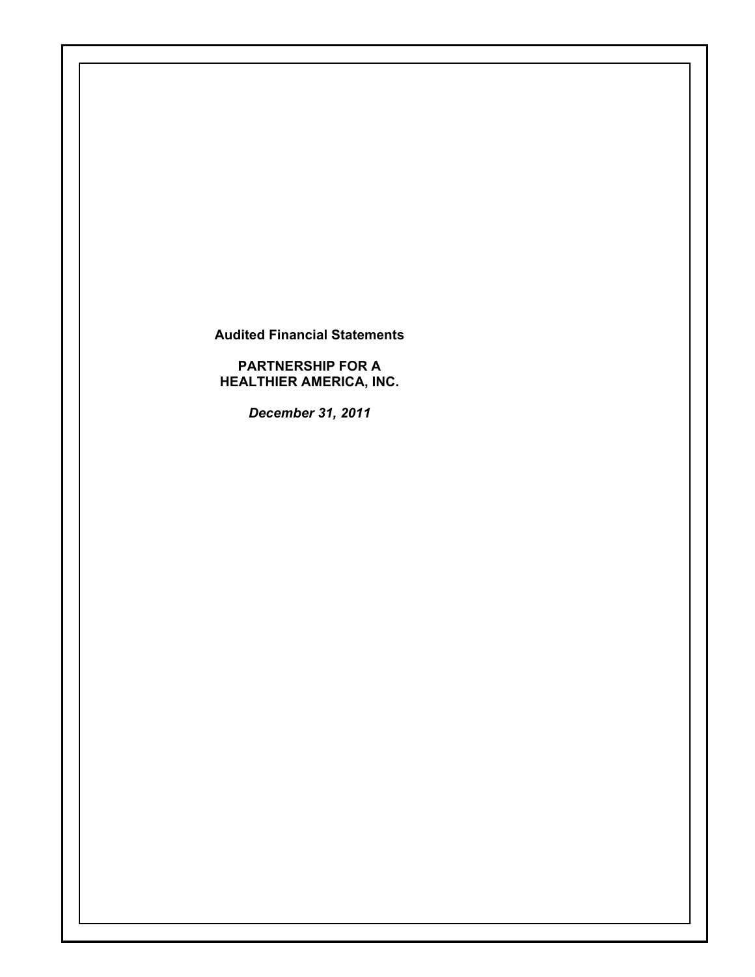**Audited Financial Statements** 

**PARTNERSHIP FOR A HEALTHIER AMERICA, INC.** 

*December 31, 2011*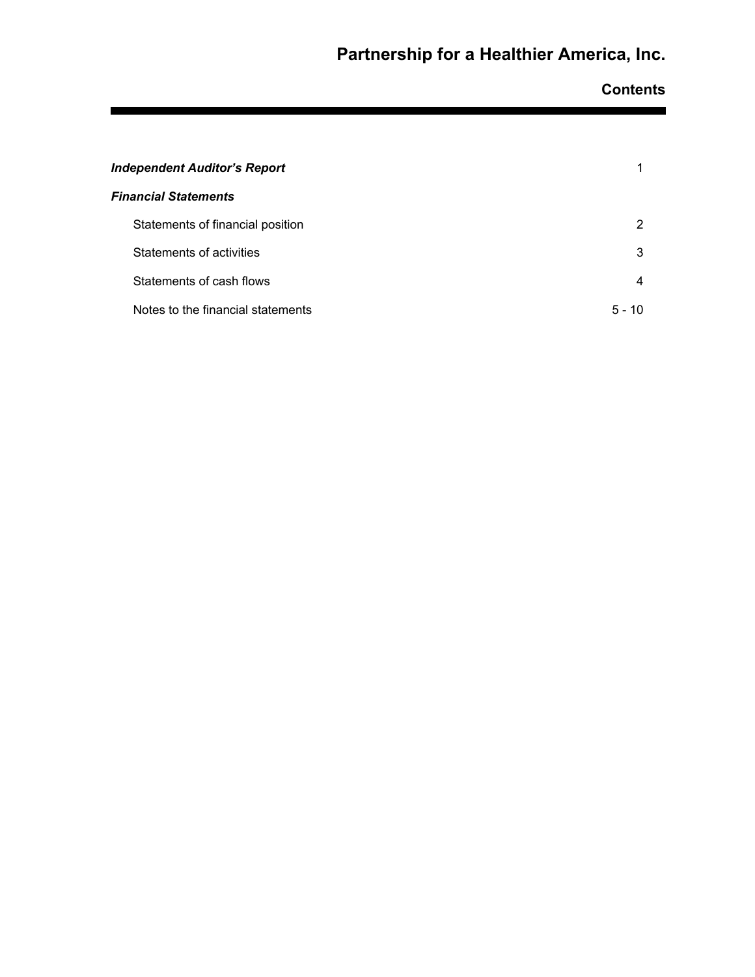**Contents** 

| <b>Independent Auditor's Report</b> |            |
|-------------------------------------|------------|
| <b>Financial Statements</b>         |            |
| Statements of financial position    | 2          |
| Statements of activities            | 3          |
| Statements of cash flows            | 4          |
| Notes to the financial statements   | 5 -<br>-10 |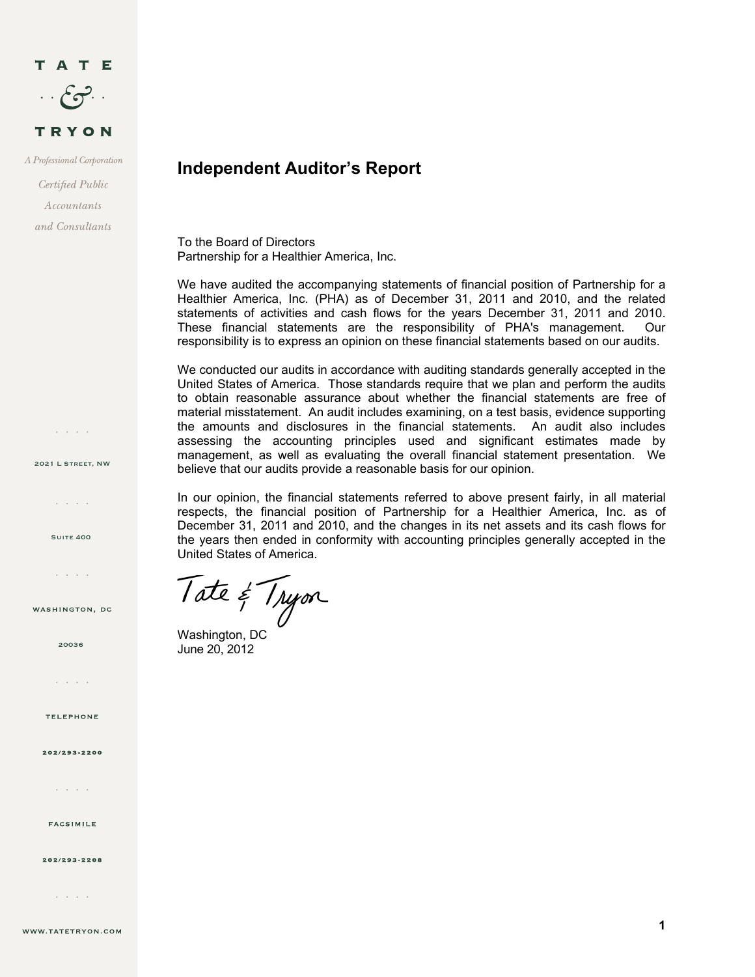

A Professional Corporation

Certified Public  $A \mathit{ccountants}$ and Consultants

2021 L Street, NW

 $\mathcal{L}^{\pm}$  ,  $\mathcal{L}^{\pm}$  ,  $\mathcal{L}^{\pm}$ 

 $\Delta\sim 10^{11}$  km s  $^{-1}$ 

**SUITE 400** 

and a state

WASHINGTON, DC

## **Independent Auditor's Report**

To the Board of Directors Partnership for a Healthier America, Inc.

We have audited the accompanying statements of financial position of Partnership for a Healthier America, Inc. (PHA) as of December 31, 2011 and 2010, and the related statements of activities and cash flows for the years December 31, 2011 and 2010. These financial statements are the responsibility of PHA's management. Our responsibility is to express an opinion on these financial statements based on our audits.

We conducted our audits in accordance with auditing standards generally accepted in the United States of America. Those standards require that we plan and perform the audits to obtain reasonable assurance about whether the financial statements are free of material misstatement. An audit includes examining, on a test basis, evidence supporting the amounts and disclosures in the financial statements. An audit also includes assessing the accounting principles used and significant estimates made by management, as well as evaluating the overall financial statement presentation. We believe that our audits provide a reasonable basis for our opinion.

In our opinion, the financial statements referred to above present fairly, in all material respects, the financial position of Partnership for a Healthier America, Inc. as of December 31, 2011 and 2010, and the changes in its net assets and its cash flows for the years then ended in conformity with accounting principles generally accepted in the United States of America.

Tate & Tryon

June 20, 2012

**TELEPHONE** 

 $\mathcal{L}^{\pm}$  ,  $\mathcal{L}^{\pm}$  ,  $\mathcal{L}^{\pm}$  ,  $\mathcal{L}^{\pm}$ 

20036

202/293-2200

and a state

**FACSIMILE** 

202/293-2208

 $\mathcal{L}^{\text{c}}$  ,  $\mathcal{L}^{\text{c}}$  ,  $\mathcal{L}^{\text{c}}$  ,  $\mathcal{L}^{\text{c}}$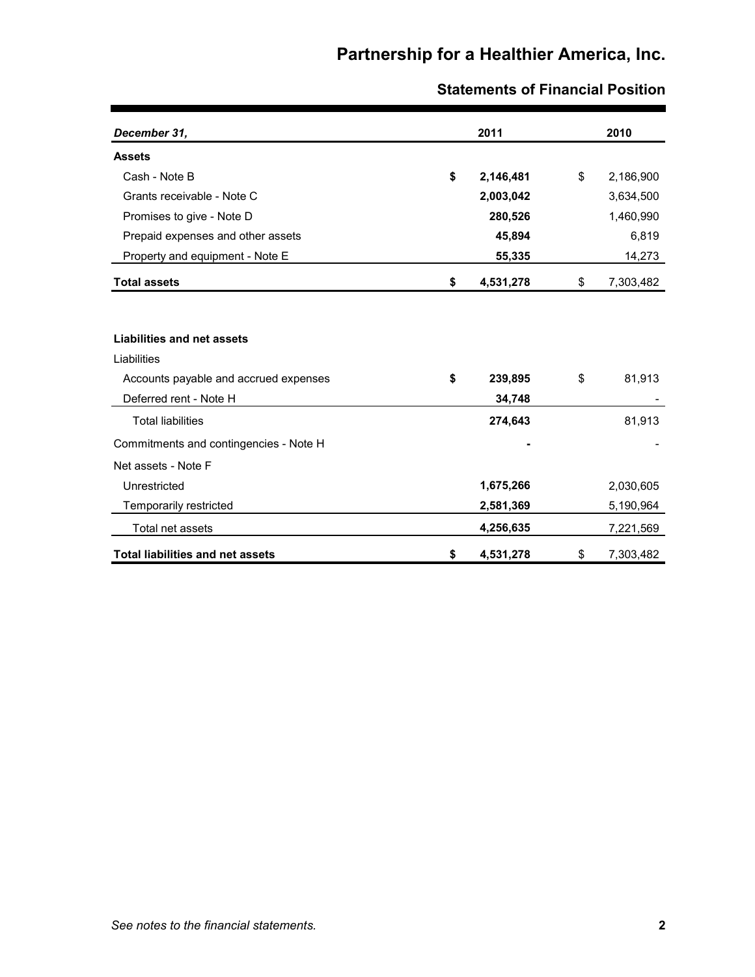| December 31,                            | 2011            | 2010            |
|-----------------------------------------|-----------------|-----------------|
| <b>Assets</b>                           |                 |                 |
| Cash - Note B                           | \$<br>2,146,481 | \$<br>2,186,900 |
| Grants receivable - Note C              | 2,003,042       | 3,634,500       |
| Promises to give - Note D               | 280,526         | 1,460,990       |
| Prepaid expenses and other assets       | 45,894          | 6,819           |
| Property and equipment - Note E         | 55,335          | 14,273          |
| <b>Total assets</b>                     | \$<br>4,531,278 | \$<br>7,303,482 |
|                                         |                 |                 |
| Liabilities and net assets              |                 |                 |
| Liabilities                             |                 |                 |
| Accounts payable and accrued expenses   | \$<br>239,895   | \$<br>81,913    |
| Deferred rent - Note H                  | 34,748          |                 |
| <b>Total liabilities</b>                | 274,643         | 81,913          |
| Commitments and contingencies - Note H  |                 |                 |
| Net assets - Note F                     |                 |                 |
| Unrestricted                            | 1,675,266       | 2,030,605       |
| Temporarily restricted                  | 2,581,369       | 5,190,964       |
| Total net assets                        | 4,256,635       | 7,221,569       |
| <b>Total liabilities and net assets</b> | \$<br>4,531,278 | \$<br>7,303,482 |

## **Statements of Financial Position**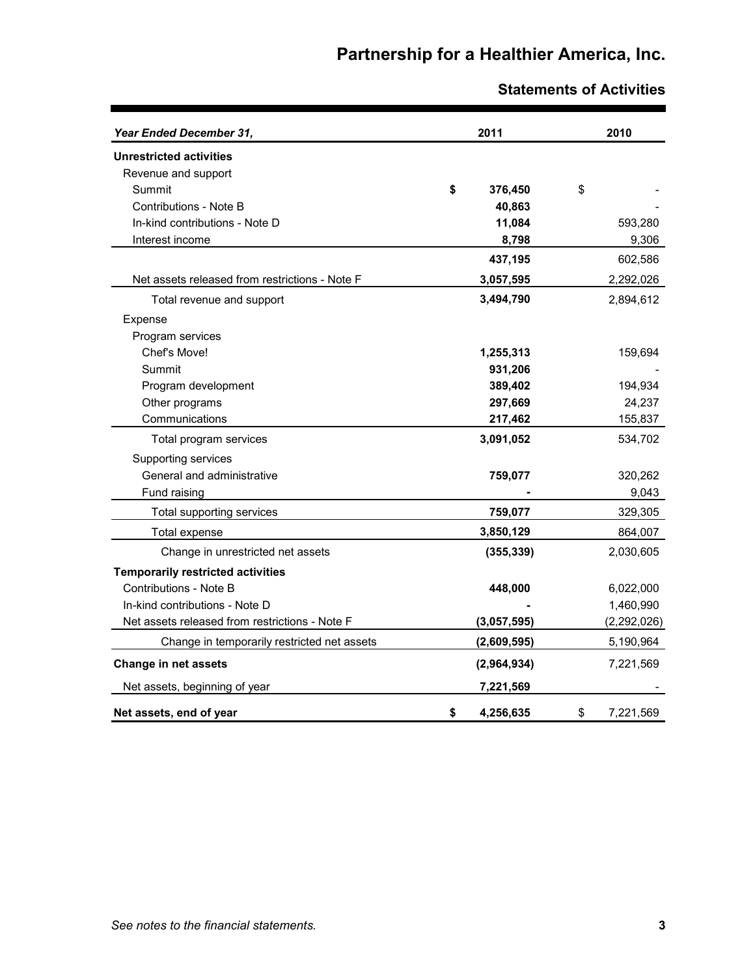| Year Ended December 31,                        | 2011            | 2010            |
|------------------------------------------------|-----------------|-----------------|
| <b>Unrestricted activities</b>                 |                 |                 |
| Revenue and support                            |                 |                 |
| Summit                                         | \$<br>376,450   | \$              |
| Contributions - Note B                         | 40,863          |                 |
| In-kind contributions - Note D                 | 11,084          | 593,280         |
| Interest income                                | 8,798           | 9,306           |
|                                                | 437,195         | 602,586         |
| Net assets released from restrictions - Note F | 3,057,595       | 2,292,026       |
| Total revenue and support                      | 3,494,790       | 2,894,612       |
| Expense                                        |                 |                 |
| Program services                               |                 |                 |
| Chef's Move!                                   | 1,255,313       | 159,694         |
| Summit                                         | 931,206         |                 |
| Program development                            | 389,402         | 194,934         |
| Other programs                                 | 297,669         | 24,237          |
| Communications                                 | 217,462         | 155,837         |
| Total program services                         | 3,091,052       | 534,702         |
| Supporting services                            |                 |                 |
| General and administrative                     | 759,077         | 320,262         |
| Fund raising                                   |                 | 9,043           |
| Total supporting services                      | 759,077         | 329,305         |
| Total expense                                  | 3,850,129       | 864,007         |
| Change in unrestricted net assets              | (355, 339)      | 2,030,605       |
| <b>Temporarily restricted activities</b>       |                 |                 |
| Contributions - Note B                         | 448,000         | 6,022,000       |
| In-kind contributions - Note D                 |                 | 1,460,990       |
| Net assets released from restrictions - Note F | (3,057,595)     | (2, 292, 026)   |
| Change in temporarily restricted net assets    | (2,609,595)     | 5,190,964       |
| Change in net assets                           | (2,964,934)     | 7,221,569       |
| Net assets, beginning of year                  | 7,221,569       |                 |
| Net assets, end of year                        | \$<br>4,256,635 | \$<br>7,221,569 |

## **Statements of Activities**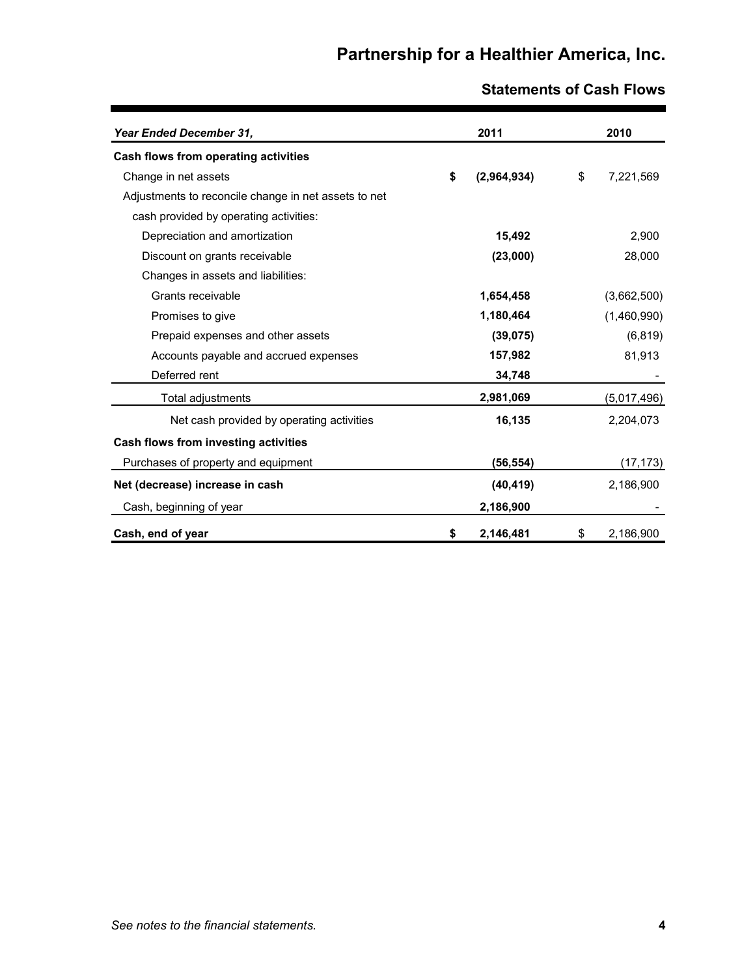| Year Ended December 31,                              | 2011              | 2010            |
|------------------------------------------------------|-------------------|-----------------|
| Cash flows from operating activities                 |                   |                 |
| Change in net assets                                 | \$<br>(2,964,934) | \$<br>7,221,569 |
| Adjustments to reconcile change in net assets to net |                   |                 |
| cash provided by operating activities:               |                   |                 |
| Depreciation and amortization                        | 15,492            | 2,900           |
| Discount on grants receivable                        | (23,000)          | 28,000          |
| Changes in assets and liabilities:                   |                   |                 |
| Grants receivable                                    | 1,654,458         | (3,662,500)     |
| Promises to give                                     | 1,180,464         | (1,460,990)     |
| Prepaid expenses and other assets                    | (39, 075)         | (6, 819)        |
| Accounts payable and accrued expenses                | 157,982           | 81,913          |
| Deferred rent                                        | 34,748            |                 |
| Total adjustments                                    | 2,981,069         | (5,017,496)     |
| Net cash provided by operating activities            | 16,135            | 2,204,073       |
| Cash flows from investing activities                 |                   |                 |
| Purchases of property and equipment                  | (56, 554)         | (17, 173)       |
| Net (decrease) increase in cash                      | (40, 419)         | 2,186,900       |
| Cash, beginning of year                              | 2,186,900         |                 |
| Cash, end of year                                    | \$<br>2,146,481   | \$<br>2,186,900 |

## **Statements of Cash Flows**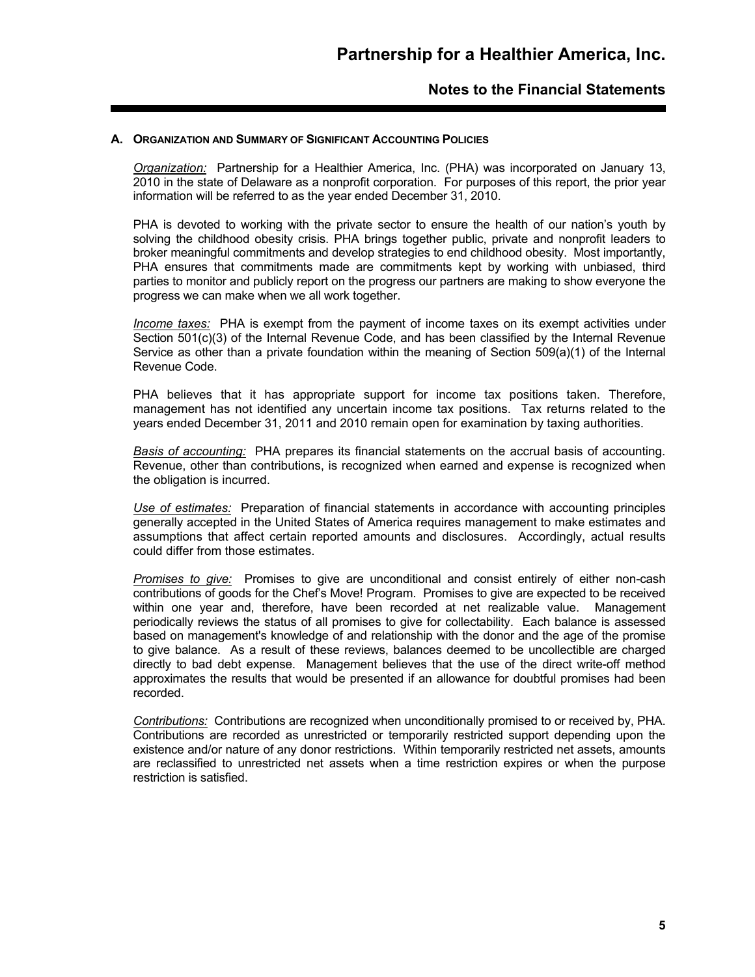#### **A. ORGANIZATION AND SUMMARY OF SIGNIFICANT ACCOUNTING POLICIES**

*Organization:* Partnership for a Healthier America, Inc. (PHA) was incorporated on January 13, 2010 in the state of Delaware as a nonprofit corporation. For purposes of this report, the prior year information will be referred to as the year ended December 31, 2010.

PHA is devoted to working with the private sector to ensure the health of our nation's youth by solving the childhood obesity crisis. PHA brings together public, private and nonprofit leaders to broker meaningful commitments and develop strategies to end childhood obesity. Most importantly, PHA ensures that commitments made are commitments kept by working with unbiased, third parties to monitor and publicly report on the progress our partners are making to show everyone the progress we can make when we all work together.

*Income taxes:* PHA is exempt from the payment of income taxes on its exempt activities under Section 501(c)(3) of the Internal Revenue Code, and has been classified by the Internal Revenue Service as other than a private foundation within the meaning of Section 509(a)(1) of the Internal Revenue Code.

PHA believes that it has appropriate support for income tax positions taken. Therefore, management has not identified any uncertain income tax positions. Tax returns related to the years ended December 31, 2011 and 2010 remain open for examination by taxing authorities.

*Basis of accounting:* PHA prepares its financial statements on the accrual basis of accounting. Revenue, other than contributions, is recognized when earned and expense is recognized when the obligation is incurred.

*Use of estimates:* Preparation of financial statements in accordance with accounting principles generally accepted in the United States of America requires management to make estimates and assumptions that affect certain reported amounts and disclosures. Accordingly, actual results could differ from those estimates.

*Promises to give:* Promises to give are unconditional and consist entirely of either non-cash contributions of goods for the Chef's Move! Program. Promises to give are expected to be received within one year and, therefore, have been recorded at net realizable value. Management periodically reviews the status of all promises to give for collectability. Each balance is assessed based on management's knowledge of and relationship with the donor and the age of the promise to give balance. As a result of these reviews, balances deemed to be uncollectible are charged directly to bad debt expense. Management believes that the use of the direct write-off method approximates the results that would be presented if an allowance for doubtful promises had been recorded.

*Contributions:* Contributions are recognized when unconditionally promised to or received by, PHA. Contributions are recorded as unrestricted or temporarily restricted support depending upon the existence and/or nature of any donor restrictions. Within temporarily restricted net assets, amounts are reclassified to unrestricted net assets when a time restriction expires or when the purpose restriction is satisfied.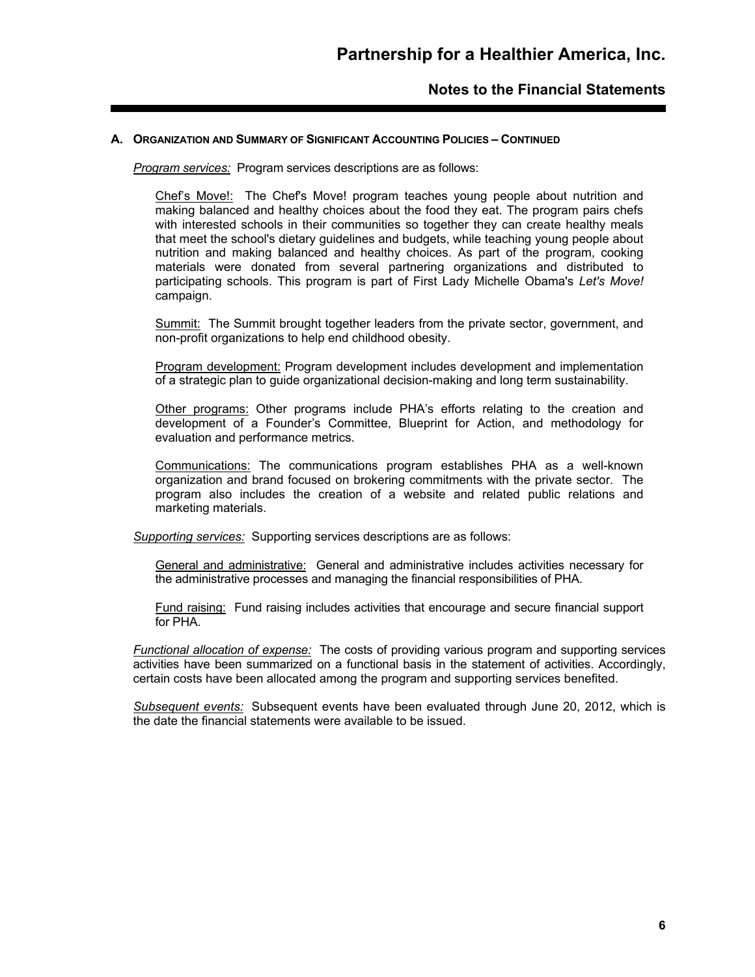#### **A. ORGANIZATION AND SUMMARY OF SIGNIFICANT ACCOUNTING POLICIES – CONTINUED**

*Program services:* Program services descriptions are as follows:

Chef's Move!: The Chef's Move! program teaches young people about nutrition and making balanced and healthy choices about the food they eat. The program pairs chefs with interested schools in their communities so together they can create healthy meals that meet the school's dietary guidelines and budgets, while teaching young people about nutrition and making balanced and healthy choices. As part of the program, cooking materials were donated from several partnering organizations and distributed to participating schools. This program is part of First Lady Michelle Obama's *Let's Move!* campaign.

Summit: The Summit brought together leaders from the private sector, government, and non-profit organizations to help end childhood obesity.

Program development: Program development includes development and implementation of a strategic plan to guide organizational decision-making and long term sustainability.

Other programs: Other programs include PHA's efforts relating to the creation and development of a Founder's Committee, Blueprint for Action, and methodology for evaluation and performance metrics.

Communications: The communications program establishes PHA as a well-known organization and brand focused on brokering commitments with the private sector. The program also includes the creation of a website and related public relations and marketing materials.

*Supporting services:* Supporting services descriptions are as follows:

General and administrative:General and administrative includes activities necessary for the administrative processes and managing the financial responsibilities of PHA.

Fund raising: Fund raising includes activities that encourage and secure financial support for PHA.

*Functional allocation of expense:* The costs of providing various program and supporting services activities have been summarized on a functional basis in the statement of activities. Accordingly, certain costs have been allocated among the program and supporting services benefited.

*Subsequent events:* Subsequent events have been evaluated through June 20, 2012, which is the date the financial statements were available to be issued.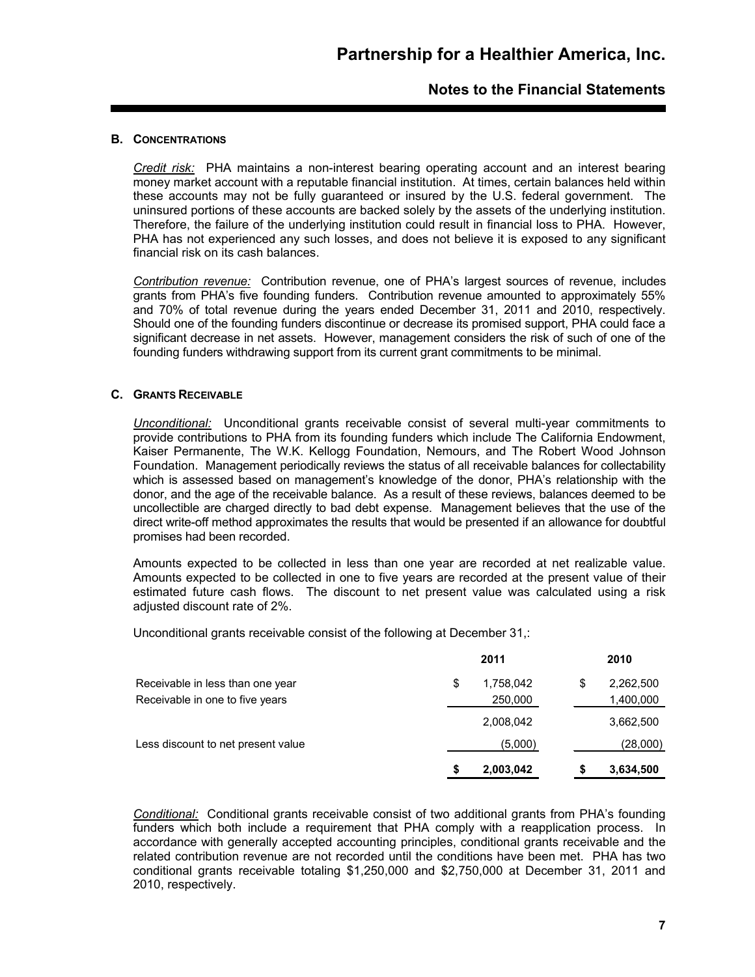### **B. CONCENTRATIONS**

*Credit risk:* PHA maintains a non-interest bearing operating account and an interest bearing money market account with a reputable financial institution. At times, certain balances held within these accounts may not be fully guaranteed or insured by the U.S. federal government. The uninsured portions of these accounts are backed solely by the assets of the underlying institution. Therefore, the failure of the underlying institution could result in financial loss to PHA. However, PHA has not experienced any such losses, and does not believe it is exposed to any significant financial risk on its cash balances.

*Contribution revenue:* Contribution revenue, one of PHA's largest sources of revenue, includes grants from PHA's five founding funders. Contribution revenue amounted to approximately 55% and 70% of total revenue during the years ended December 31, 2011 and 2010, respectively. Should one of the founding funders discontinue or decrease its promised support, PHA could face a significant decrease in net assets. However, management considers the risk of such of one of the founding funders withdrawing support from its current grant commitments to be minimal.

#### **C. GRANTS RECEIVABLE**

*Unconditional:* Unconditional grants receivable consist of several multi-year commitments to provide contributions to PHA from its founding funders which include The California Endowment, Kaiser Permanente, The W.K. Kellogg Foundation, Nemours, and The Robert Wood Johnson Foundation. Management periodically reviews the status of all receivable balances for collectability which is assessed based on management's knowledge of the donor, PHA's relationship with the donor, and the age of the receivable balance. As a result of these reviews, balances deemed to be uncollectible are charged directly to bad debt expense. Management believes that the use of the direct write-off method approximates the results that would be presented if an allowance for doubtful promises had been recorded.

Amounts expected to be collected in less than one year are recorded at net realizable value. Amounts expected to be collected in one to five years are recorded at the present value of their estimated future cash flows. The discount to net present value was calculated using a risk adiusted discount rate of 2%.

Unconditional grants receivable consist of the following at December 31,:

|                                                                     | 2011                       | 2010                         |
|---------------------------------------------------------------------|----------------------------|------------------------------|
| Receivable in less than one year<br>Receivable in one to five years | \$<br>1,758,042<br>250,000 | \$<br>2,262,500<br>1,400,000 |
|                                                                     | 2,008,042                  | 3,662,500                    |
| Less discount to net present value                                  | (5,000)                    | (28,000)                     |
|                                                                     | 2,003,042                  | 3,634,500                    |

*Conditional:* Conditional grants receivable consist of two additional grants from PHA's founding funders which both include a requirement that PHA comply with a reapplication process. In accordance with generally accepted accounting principles, conditional grants receivable and the related contribution revenue are not recorded until the conditions have been met. PHA has two conditional grants receivable totaling \$1,250,000 and \$2,750,000 at December 31, 2011 and 2010, respectively.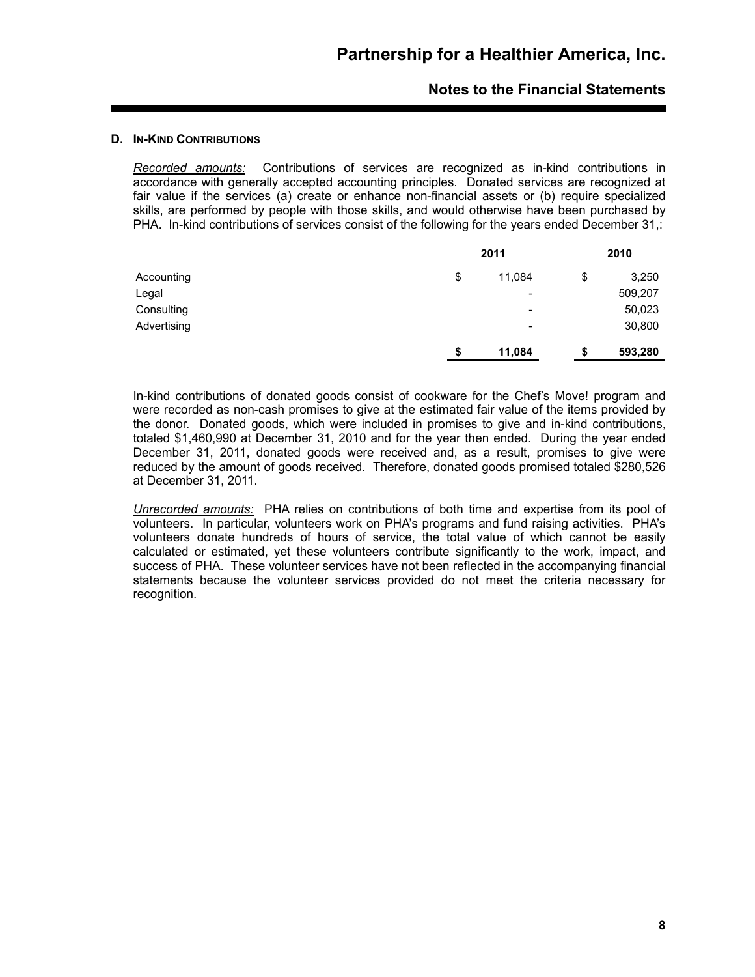#### **D. IN-KIND CONTRIBUTIONS**

*Recorded amounts:* Contributions of services are recognized as in-kind contributions in accordance with generally accepted accounting principles. Donated services are recognized at fair value if the services (a) create or enhance non-financial assets or (b) require specialized skills, are performed by people with those skills, and would otherwise have been purchased by PHA. In-kind contributions of services consist of the following for the years ended December 31,:

|             |    | 2011                     |    | 2010    |
|-------------|----|--------------------------|----|---------|
| Accounting  | \$ | 11,084                   | \$ | 3,250   |
| Legal       |    | $\overline{\phantom{a}}$ |    | 509,207 |
| Consulting  |    | $\overline{\phantom{0}}$ |    | 50,023  |
| Advertising |    | $\overline{\phantom{0}}$ |    | 30,800  |
|             | S  | 11,084                   | S  | 593,280 |

In-kind contributions of donated goods consist of cookware for the Chef's Move! program and were recorded as non-cash promises to give at the estimated fair value of the items provided by the donor. Donated goods, which were included in promises to give and in-kind contributions, totaled \$1,460,990 at December 31, 2010 and for the year then ended. During the year ended December 31, 2011, donated goods were received and, as a result, promises to give were reduced by the amount of goods received. Therefore, donated goods promised totaled \$280,526 at December 31, 2011.

*Unrecorded amounts:* PHA relies on contributions of both time and expertise from its pool of volunteers. In particular, volunteers work on PHA's programs and fund raising activities. PHA's volunteers donate hundreds of hours of service, the total value of which cannot be easily calculated or estimated, yet these volunteers contribute significantly to the work, impact, and success of PHA. These volunteer services have not been reflected in the accompanying financial statements because the volunteer services provided do not meet the criteria necessary for recognition.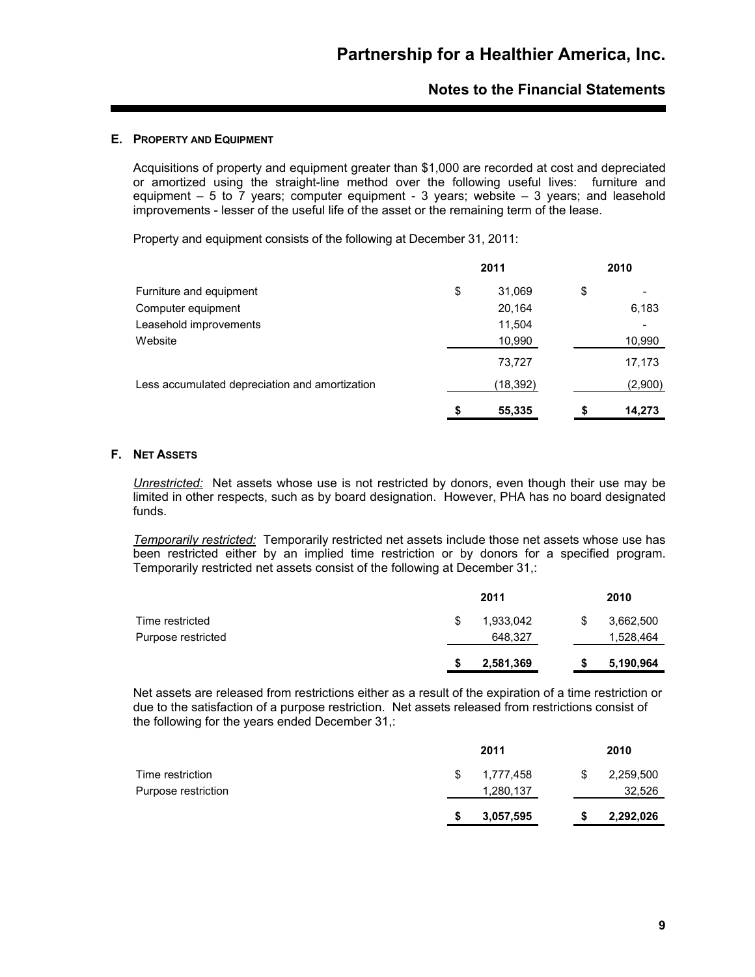#### **E. PROPERTY AND EQUIPMENT**

Acquisitions of property and equipment greater than \$1,000 are recorded at cost and depreciated or amortized using the straight-line method over the following useful lives: furniture and equipment  $-5$  to  $\overline{7}$  years; computer equipment - 3 years; website  $-3$  years; and leasehold improvements - lesser of the useful life of the asset or the remaining term of the lease.

Property and equipment consists of the following at December 31, 2011:

|                                                | 2011         | 2010         |
|------------------------------------------------|--------------|--------------|
| Furniture and equipment                        | \$<br>31,069 | \$           |
| Computer equipment                             | 20.164       | 6,183        |
| Leasehold improvements                         | 11,504       |              |
| Website                                        | 10,990       | 10,990       |
|                                                | 73.727       | 17,173       |
| Less accumulated depreciation and amortization | (18,392)     | (2,900)      |
|                                                | \$<br>55,335 | \$<br>14.273 |

### **F. NET ASSETS**

*Unrestricted:* Net assets whose use is not restricted by donors, even though their use may be limited in other respects, such as by board designation. However, PHA has no board designated funds.

*Temporarily restricted:* Temporarily restricted net assets include those net assets whose use has been restricted either by an implied time restriction or by donors for a specified program. Temporarily restricted net assets consist of the following at December 31,:

|                    |   | 2011      | 2010      |
|--------------------|---|-----------|-----------|
| Time restricted    | S | 1,933,042 | 3,662,500 |
| Purpose restricted |   | 648,327   | 1,528,464 |
|                    |   | 2,581,369 | 5,190,964 |

Net assets are released from restrictions either as a result of the expiration of a time restriction or due to the satisfaction of a purpose restriction. Net assets released from restrictions consist of the following for the years ended December 31,:

|                                         |   | 2011                   | 2010                |
|-----------------------------------------|---|------------------------|---------------------|
| Time restriction<br>Purpose restriction | S | 1,777,458<br>1,280,137 | 2,259,500<br>32,526 |
|                                         |   | 3,057,595              | 2,292,026           |